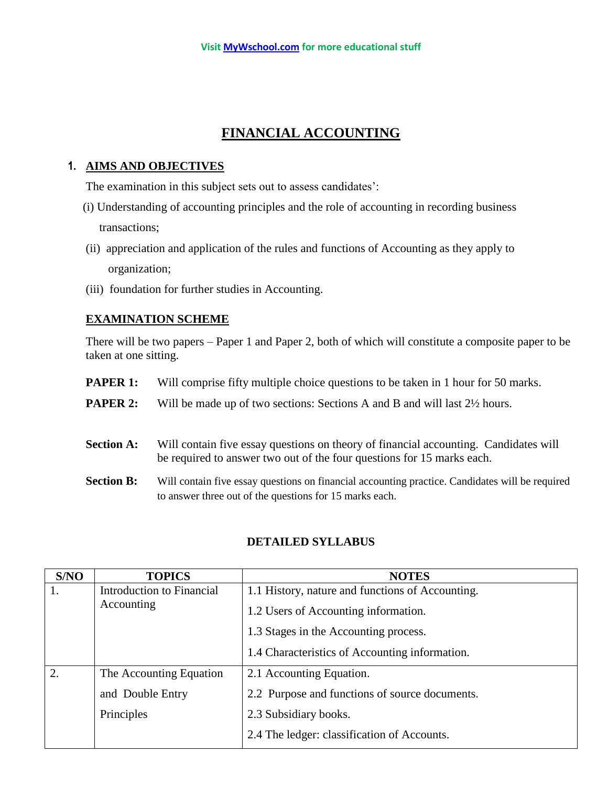# **FINANCIAL ACCOUNTING**

# **1. AIMS AND OBJECTIVES**

The examination in this subject sets out to assess candidates':

- (i) Understanding of accounting principles and the role of accounting in recording business transactions;
- (ii) appreciation and application of the rules and functions of Accounting as they apply to organization;
- (iii) foundation for further studies in Accounting.

### **EXAMINATION SCHEME**

There will be two papers – Paper 1 and Paper 2, both of which will constitute a composite paper to be taken at one sitting.

- **PAPER 1:** Will comprise fifty multiple choice questions to be taken in 1 hour for 50 marks.
- **PAPER 2:** Will be made up of two sections: Sections A and B and will last  $2\frac{1}{2}$  hours.
- **Section A:** Will contain five essay questions on theory of financial accounting. Candidates will be required to answer two out of the four questions for 15 marks each.
- **Section B:** Will contain five essay questions on financial accounting practice. Candidates will be required to answer three out of the questions for 15 marks each.

| S/NO | <b>TOPICS</b>             | <b>NOTES</b>                                     |  |
|------|---------------------------|--------------------------------------------------|--|
| 1.   | Introduction to Financial | 1.1 History, nature and functions of Accounting. |  |
|      | Accounting                | 1.2 Users of Accounting information.             |  |
|      |                           | 1.3 Stages in the Accounting process.            |  |
|      |                           | 1.4 Characteristics of Accounting information.   |  |
| 2.   | The Accounting Equation   | 2.1 Accounting Equation.                         |  |
|      | and Double Entry          | 2.2 Purpose and functions of source documents.   |  |
|      | Principles                | 2.3 Subsidiary books.                            |  |
|      |                           | 2.4 The ledger: classification of Accounts.      |  |

### **DETAILED SYLLABUS**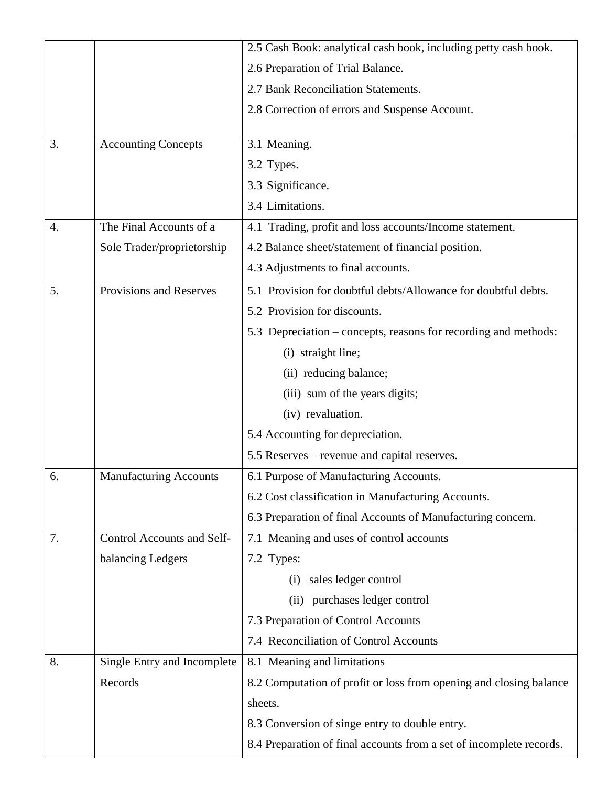|    |                               | 2.5 Cash Book: analytical cash book, including petty cash book.                                                                 |  |  |
|----|-------------------------------|---------------------------------------------------------------------------------------------------------------------------------|--|--|
|    |                               | 2.6 Preparation of Trial Balance.                                                                                               |  |  |
|    |                               | 2.7 Bank Reconciliation Statements.                                                                                             |  |  |
|    |                               | 2.8 Correction of errors and Suspense Account.                                                                                  |  |  |
|    |                               |                                                                                                                                 |  |  |
| 3. | <b>Accounting Concepts</b>    | 3.1 Meaning.                                                                                                                    |  |  |
|    |                               | 3.2 Types.                                                                                                                      |  |  |
|    |                               | 3.3 Significance.                                                                                                               |  |  |
|    |                               | 3.4 Limitations.                                                                                                                |  |  |
| 4. | The Final Accounts of a       | 4.1 Trading, profit and loss accounts/Income statement.                                                                         |  |  |
|    | Sole Trader/proprietorship    | 4.2 Balance sheet/statement of financial position.                                                                              |  |  |
|    |                               | 4.3 Adjustments to final accounts.                                                                                              |  |  |
| 5. | Provisions and Reserves       | 5.1 Provision for doubtful debts/Allowance for doubtful debts.                                                                  |  |  |
|    |                               | 5.2 Provision for discounts.                                                                                                    |  |  |
|    |                               | 5.3 Depreciation – concepts, reasons for recording and methods:                                                                 |  |  |
|    |                               | (i) straight line;                                                                                                              |  |  |
|    |                               | (ii) reducing balance;                                                                                                          |  |  |
|    |                               | (iii) sum of the years digits;                                                                                                  |  |  |
|    |                               | (iv) revaluation.<br>5.4 Accounting for depreciation.                                                                           |  |  |
|    |                               |                                                                                                                                 |  |  |
|    |                               | 5.5 Reserves – revenue and capital reserves.                                                                                    |  |  |
| 6. | <b>Manufacturing Accounts</b> | 6.1 Purpose of Manufacturing Accounts.                                                                                          |  |  |
|    |                               | 6.2 Cost classification in Manufacturing Accounts.                                                                              |  |  |
|    |                               | 6.3 Preparation of final Accounts of Manufacturing concern.                                                                     |  |  |
| 7. | Control Accounts and Self-    | 7.1 Meaning and uses of control accounts                                                                                        |  |  |
|    | balancing Ledgers             | 7.2 Types:                                                                                                                      |  |  |
|    |                               | sales ledger control<br>(i)                                                                                                     |  |  |
|    |                               | (ii) purchases ledger control                                                                                                   |  |  |
|    |                               | 7.3 Preparation of Control Accounts                                                                                             |  |  |
|    |                               | 7.4 Reconciliation of Control Accounts                                                                                          |  |  |
| 8. | Single Entry and Incomplete   | 8.1 Meaning and limitations                                                                                                     |  |  |
|    | Records                       | 8.2 Computation of profit or loss from opening and closing balance<br>sheets.<br>8.3 Conversion of singe entry to double entry. |  |  |
|    |                               |                                                                                                                                 |  |  |
|    |                               |                                                                                                                                 |  |  |
|    |                               | 8.4 Preparation of final accounts from a set of incomplete records.                                                             |  |  |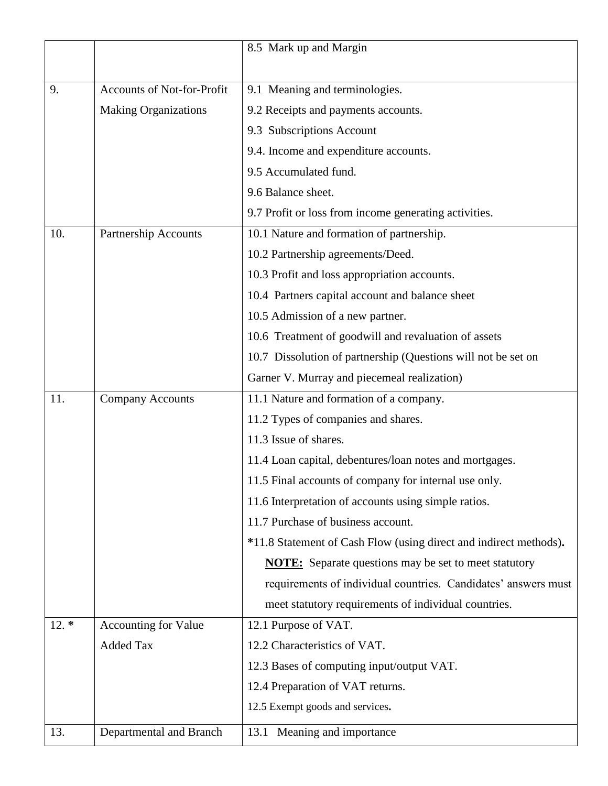|        |                                   | 8.5 Mark up and Margin                                            |  |  |
|--------|-----------------------------------|-------------------------------------------------------------------|--|--|
|        |                                   |                                                                   |  |  |
| 9.     | <b>Accounts of Not-for-Profit</b> | 9.1 Meaning and terminologies.                                    |  |  |
|        | <b>Making Organizations</b>       | 9.2 Receipts and payments accounts.                               |  |  |
|        |                                   | 9.3 Subscriptions Account                                         |  |  |
|        |                                   | 9.4. Income and expenditure accounts.                             |  |  |
|        |                                   | 9.5 Accumulated fund.                                             |  |  |
|        |                                   | 9.6 Balance sheet.                                                |  |  |
|        |                                   | 9.7 Profit or loss from income generating activities.             |  |  |
| 10.    | <b>Partnership Accounts</b>       | 10.1 Nature and formation of partnership.                         |  |  |
|        |                                   | 10.2 Partnership agreements/Deed.                                 |  |  |
|        |                                   | 10.3 Profit and loss appropriation accounts.                      |  |  |
|        |                                   | 10.4 Partners capital account and balance sheet                   |  |  |
|        |                                   | 10.5 Admission of a new partner.                                  |  |  |
|        |                                   | 10.6 Treatment of goodwill and revaluation of assets              |  |  |
|        |                                   | 10.7 Dissolution of partnership (Questions will not be set on     |  |  |
|        |                                   | Garner V. Murray and piecemeal realization)                       |  |  |
| 11.    | <b>Company Accounts</b>           | 11.1 Nature and formation of a company.                           |  |  |
|        |                                   | 11.2 Types of companies and shares.                               |  |  |
|        |                                   | 11.3 Issue of shares.                                             |  |  |
|        |                                   | 11.4 Loan capital, debentures/loan notes and mortgages.           |  |  |
|        |                                   | 11.5 Final accounts of company for internal use only.             |  |  |
|        |                                   | 11.6 Interpretation of accounts using simple ratios.              |  |  |
|        |                                   | 11.7 Purchase of business account.                                |  |  |
|        |                                   | *11.8 Statement of Cash Flow (using direct and indirect methods). |  |  |
|        |                                   | <b>NOTE:</b> Separate questions may be set to meet statutory      |  |  |
|        |                                   | requirements of individual countries. Candidates' answers must    |  |  |
|        |                                   | meet statutory requirements of individual countries.              |  |  |
| $12.*$ | Accounting for Value              | 12.1 Purpose of VAT.                                              |  |  |
|        | <b>Added Tax</b>                  | 12.2 Characteristics of VAT.                                      |  |  |
|        |                                   | 12.3 Bases of computing input/output VAT.                         |  |  |
|        |                                   | 12.4 Preparation of VAT returns.                                  |  |  |
|        |                                   | 12.5 Exempt goods and services.                                   |  |  |
| 13.    | Departmental and Branch           | Meaning and importance<br>13.1                                    |  |  |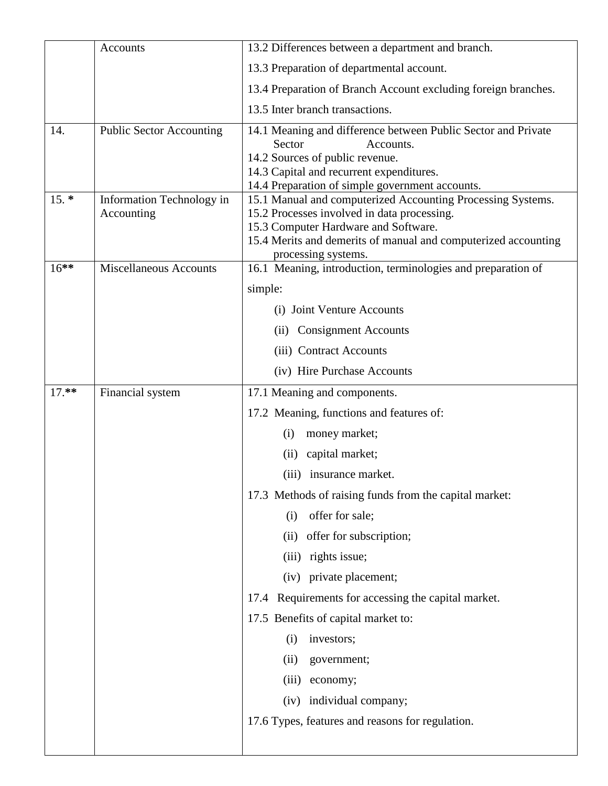|         | Accounts                                | 13.2 Differences between a department and branch.                                                                                                                                                                                           |  |  |
|---------|-----------------------------------------|---------------------------------------------------------------------------------------------------------------------------------------------------------------------------------------------------------------------------------------------|--|--|
|         |                                         | 13.3 Preparation of departmental account.                                                                                                                                                                                                   |  |  |
|         |                                         | 13.4 Preparation of Branch Account excluding foreign branches.                                                                                                                                                                              |  |  |
|         |                                         | 13.5 Inter branch transactions.                                                                                                                                                                                                             |  |  |
| 14.     | <b>Public Sector Accounting</b>         | 14.1 Meaning and difference between Public Sector and Private<br>Sector<br>Accounts.<br>14.2 Sources of public revenue.<br>14.3 Capital and recurrent expenditures.<br>14.4 Preparation of simple government accounts.                      |  |  |
| $15. *$ | Information Technology in<br>Accounting | 15.1 Manual and computerized Accounting Processing Systems.<br>15.2 Processes involved in data processing.<br>15.3 Computer Hardware and Software.<br>15.4 Merits and demerits of manual and computerized accounting<br>processing systems. |  |  |
| $16***$ | <b>Miscellaneous Accounts</b>           | 16.1 Meaning, introduction, terminologies and preparation of                                                                                                                                                                                |  |  |
|         |                                         | simple:                                                                                                                                                                                                                                     |  |  |
|         |                                         | (i) Joint Venture Accounts                                                                                                                                                                                                                  |  |  |
|         |                                         | <b>Consignment Accounts</b><br>(i)                                                                                                                                                                                                          |  |  |
|         |                                         | (iii) Contract Accounts                                                                                                                                                                                                                     |  |  |
|         |                                         | (iv) Hire Purchase Accounts                                                                                                                                                                                                                 |  |  |
| $17.**$ | Financial system                        | 17.1 Meaning and components.                                                                                                                                                                                                                |  |  |
|         |                                         | 17.2 Meaning, functions and features of:                                                                                                                                                                                                    |  |  |
|         |                                         | (i)<br>money market;                                                                                                                                                                                                                        |  |  |
|         |                                         | capital market;<br>(ii)                                                                                                                                                                                                                     |  |  |
|         |                                         | (iii) insurance market.                                                                                                                                                                                                                     |  |  |
|         |                                         | 17.3 Methods of raising funds from the capital market:                                                                                                                                                                                      |  |  |
|         |                                         | offer for sale;<br>(i)                                                                                                                                                                                                                      |  |  |
|         |                                         | offer for subscription;<br>(ii)                                                                                                                                                                                                             |  |  |
|         |                                         | rights issue;<br>(iii)                                                                                                                                                                                                                      |  |  |
|         |                                         | (iv) private placement;                                                                                                                                                                                                                     |  |  |
|         |                                         | Requirements for accessing the capital market.<br>17.4                                                                                                                                                                                      |  |  |
|         |                                         | 17.5 Benefits of capital market to:                                                                                                                                                                                                         |  |  |
|         |                                         | (i)<br>investors;                                                                                                                                                                                                                           |  |  |
|         |                                         | (ii)<br>government;                                                                                                                                                                                                                         |  |  |
|         |                                         | (iii)<br>economy;                                                                                                                                                                                                                           |  |  |
|         |                                         | individual company;<br>(iv)                                                                                                                                                                                                                 |  |  |
|         |                                         | 17.6 Types, features and reasons for regulation.                                                                                                                                                                                            |  |  |
|         |                                         |                                                                                                                                                                                                                                             |  |  |